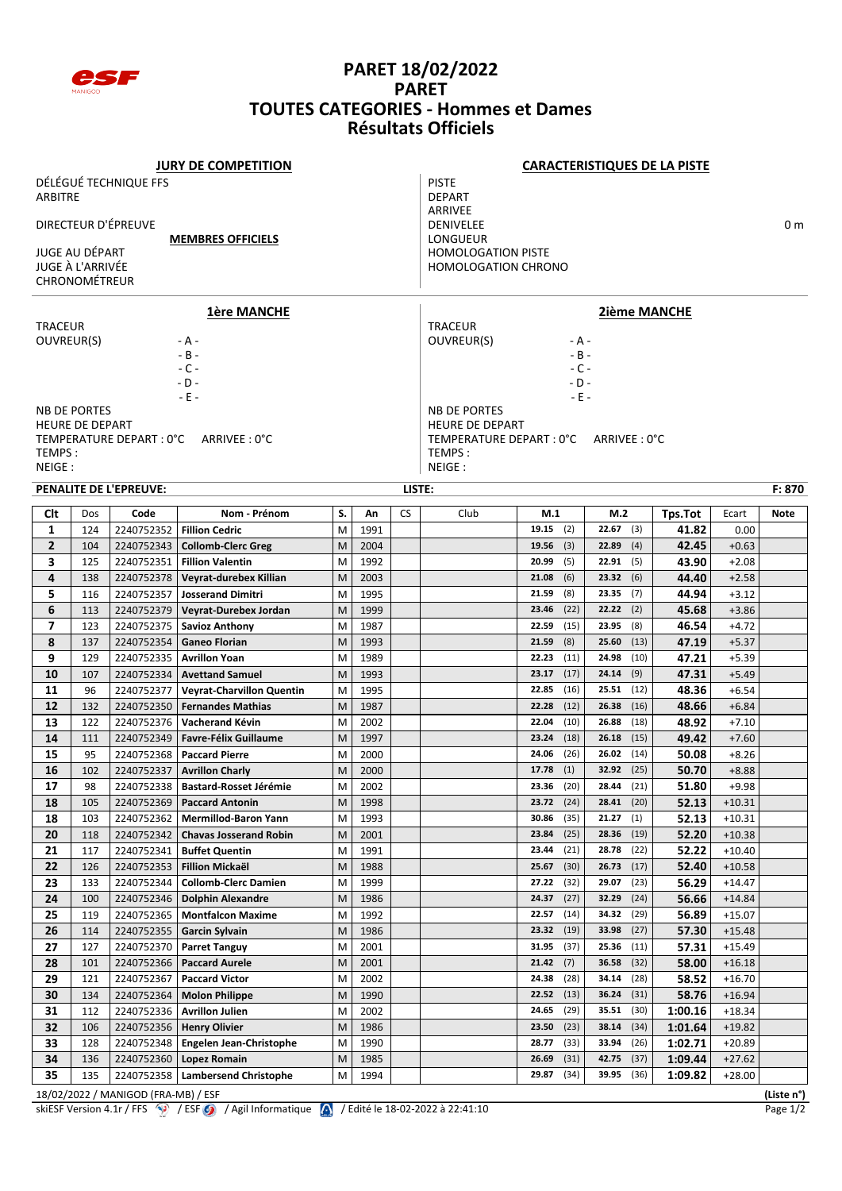

## **PARET 18/02/2022 PARET TOUTES CATEGORIES - Hommes et Dames Résultats Officiels**

| <b>JURY DE COMPETITION</b>                 |                        |                                     |                                  |    |      |                     | <b>CARACTERISTIQUES DE LA PISTE</b> |                 |               |         |          |            |  |  |  |
|--------------------------------------------|------------------------|-------------------------------------|----------------------------------|----|------|---------------------|-------------------------------------|-----------------|---------------|---------|----------|------------|--|--|--|
|                                            |                        | DÉLÉGUÉ TECHNIQUE FFS               |                                  |    |      |                     | <b>PISTE</b>                        |                 |               |         |          |            |  |  |  |
| <b>ARBITRE</b>                             |                        |                                     |                                  |    |      |                     | <b>DEPART</b>                       |                 |               |         |          |            |  |  |  |
|                                            |                        |                                     |                                  |    |      | ARRIVEE             |                                     |                 |               |         |          |            |  |  |  |
| DIRECTEUR D'ÉPREUVE                        |                        |                                     |                                  |    |      |                     | <b>DENIVELEE</b><br>0 m             |                 |               |         |          |            |  |  |  |
| <b>MEMBRES OFFICIELS</b><br>JUGE AU DÉPART |                        |                                     |                                  |    |      |                     | LONGUEUR                            |                 |               |         |          |            |  |  |  |
|                                            | JUGE À L'ARRIVÉE       |                                     |                                  |    |      |                     | <b>HOMOLOGATION PISTE</b>           |                 |               |         |          |            |  |  |  |
|                                            | CHRONOMÉTREUR          |                                     |                                  |    |      |                     | <b>HOMOLOGATION CHRONO</b>          |                 |               |         |          |            |  |  |  |
|                                            |                        |                                     |                                  |    |      |                     |                                     |                 |               |         |          |            |  |  |  |
|                                            |                        |                                     | <b>1ère MANCHE</b>               |    |      | <b>2ième MANCHE</b> |                                     |                 |               |         |          |            |  |  |  |
| <b>TRACEUR</b>                             |                        |                                     |                                  |    |      |                     | <b>TRACEUR</b>                      |                 |               |         |          |            |  |  |  |
| OUVREUR(S)                                 |                        |                                     | - A -                            |    |      |                     | OUVREUR(S)                          | - A -           |               |         |          |            |  |  |  |
|                                            |                        |                                     | $-B -$                           |    |      |                     | $- B -$                             |                 |               |         |          |            |  |  |  |
|                                            |                        |                                     | $-C -$<br>$-D -$                 |    |      |                     |                                     | $-C -$<br>- D - |               |         |          |            |  |  |  |
|                                            |                        |                                     | $-E -$                           |    |      |                     |                                     | - E -           |               |         |          |            |  |  |  |
|                                            | <b>NB DE PORTES</b>    |                                     |                                  |    |      |                     | <b>NB DE PORTES</b>                 |                 |               |         |          |            |  |  |  |
|                                            | <b>HEURE DE DEPART</b> |                                     |                                  |    |      |                     | <b>HEURE DE DEPART</b>              |                 |               |         |          |            |  |  |  |
|                                            |                        | TEMPERATURE DEPART : 0°C            | ARRIVEE : 0°C                    |    |      |                     | TEMPERATURE DEPART : 0°C            |                 | ARRIVEE: 0°C  |         |          |            |  |  |  |
| TEMPS:                                     |                        |                                     |                                  |    |      |                     | TEMPS:                              |                 |               |         |          |            |  |  |  |
| NEIGE:                                     |                        |                                     |                                  |    |      |                     | NEIGE:                              |                 |               |         |          |            |  |  |  |
|                                            |                        | PENALITE DE L'EPREUVE:              |                                  |    |      | LISTE:              |                                     |                 |               |         |          | F: 870     |  |  |  |
| Clt                                        | Dos                    | Code                                | Nom - Prénom                     | S. | An   | <b>CS</b>           | Club                                | M.1             | M.2           | Tps.Tot | Ecart    | Note       |  |  |  |
| 1                                          | 124                    | 2240752352                          | <b>Fillion Cedric</b>            | M  | 1991 |                     |                                     | 19.15<br>(2)    | 22.67<br>(3)  | 41.82   | 0.00     |            |  |  |  |
| $\overline{2}$                             | 104                    | 2240752343                          | <b>Collomb-Clerc Greg</b>        | M  | 2004 |                     |                                     | 19.56<br>(3)    | 22.89<br>(4)  | 42.45   | $+0.63$  |            |  |  |  |
| 3                                          | 125                    | 2240752351                          | <b>Fillion Valentin</b>          | M  | 1992 |                     |                                     | 20.99<br>(5)    | 22.91<br>(5)  | 43.90   | $+2.08$  |            |  |  |  |
| 4                                          | 138                    | 2240752378                          | Veyrat-durebex Killian           | M  | 2003 |                     |                                     | (6)<br>21.08    | 23.32<br>(6)  | 44.40   | $+2.58$  |            |  |  |  |
| 5                                          | 116                    | 2240752357                          | <b>Josserand Dimitri</b>         | M  | 1995 |                     |                                     | (8)<br>21.59    | 23.35<br>(7)  | 44.94   | $+3.12$  |            |  |  |  |
| 6                                          | 113                    | 2240752379                          | Veyrat-Durebex Jordan            | M  | 1999 |                     |                                     | (22)<br>23.46   | 22.22<br>(2)  | 45.68   | $+3.86$  |            |  |  |  |
| $\overline{ }$                             | 123                    | 2240752375                          | <b>Savioz Anthony</b>            | M  | 1987 |                     |                                     | (15)<br>22.59   | 23.95<br>(8)  | 46.54   | $+4.72$  |            |  |  |  |
| 8                                          | 137                    | 2240752354                          | <b>Ganeo Florian</b>             | M  | 1993 |                     |                                     | (8)<br>21.59    | 25.60<br>(13) | 47.19   | $+5.37$  |            |  |  |  |
| 9                                          | 129                    | 2240752335                          | <b>Avrillon Yoan</b>             | M  | 1989 |                     |                                     | 22.23<br>(11)   | (10)<br>24.98 | 47.21   | $+5.39$  |            |  |  |  |
| 10                                         | 107                    | 2240752334                          | <b>Avettand Samuel</b>           | M  | 1993 |                     |                                     | (17)<br>23.17   | 24.14<br>(9)  | 47.31   | $+5.49$  |            |  |  |  |
| 11                                         | 96                     | 2240752377                          | <b>Veyrat-Charvillon Quentin</b> | M  | 1995 |                     |                                     | (16)<br>22.85   | 25.51<br>(12) | 48.36   | $+6.54$  |            |  |  |  |
| 12                                         | 132                    | 2240752350                          | <b>Fernandes Mathias</b>         | M  | 1987 |                     |                                     | (12)<br>22.28   | 26.38<br>(16) | 48.66   | $+6.84$  |            |  |  |  |
| 13                                         | 122                    | 2240752376                          | Vacherand Kévin                  | M  | 2002 |                     |                                     | 22.04<br>(10)   | 26.88<br>(18) | 48.92   | $+7.10$  |            |  |  |  |
| 14                                         | 111                    | 2240752349                          | <b>Favre-Félix Guillaume</b>     | M  | 1997 |                     |                                     | (18)<br>23.24   | 26.18<br>(15) | 49.42   | $+7.60$  |            |  |  |  |
| 15                                         | 95                     | 2240752368                          | <b>Paccard Pierre</b>            | M  | 2000 |                     |                                     | (26)<br>24.06   | 26.02<br>(14) | 50.08   | $+8.26$  |            |  |  |  |
| 16                                         | 102                    | 2240752337                          | <b>Avrillon Charly</b>           | M  | 2000 |                     |                                     | $17.78$ (1)     | 32.92 (25)    | 50.70   | $+8.88$  |            |  |  |  |
| 17                                         | 98                     | 2240752338                          | Bastard-Rosset Jérémie           | M  | 2002 |                     |                                     | (20)<br>23.36   | (21)<br>28.44 | 51.80   | $+9.98$  |            |  |  |  |
| 18                                         | 105                    | 2240752369                          | <b>Paccard Antonin</b>           | M  | 1998 |                     |                                     | (24)<br>23.72   | 28.41<br>(20) | 52.13   | $+10.31$ |            |  |  |  |
| 18                                         | 103                    | 2240752362                          | <b>Mermillod-Baron Yann</b>      | M  | 1993 |                     |                                     | (35)<br>30.86   | 21.27<br>(1)  | 52.13   | $+10.31$ |            |  |  |  |
| 20                                         | 118                    | 2240752342                          | <b>Chavas Josserand Robin</b>    | M  | 2001 |                     |                                     | (25)<br>23.84   | (19)<br>28.36 | 52.20   | $+10.38$ |            |  |  |  |
| 21                                         | 117                    | 2240752341                          | <b>Buffet Quentin</b>            | M  | 1991 |                     |                                     | (21)<br>23.44   | 28.78<br>(22) | 52.22   | $+10.40$ |            |  |  |  |
| 22                                         | 126                    | 2240752353                          | <b>Fillion Mickaël</b>           | M  | 1988 |                     |                                     | 25.67<br>(30)   | 26.73<br>(17) | 52.40   | $+10.58$ |            |  |  |  |
| 23                                         | 133                    | 2240752344                          | <b>Collomb-Clerc Damien</b>      | M  | 1999 |                     |                                     | 27.22<br>(32)   | 29.07<br>(23) | 56.29   | $+14.47$ |            |  |  |  |
| 24                                         | 100                    | 2240752346                          | <b>Dolphin Alexandre</b>         | M  | 1986 |                     |                                     | (27)<br>24.37   | 32.29<br>(24) | 56.66   | $+14.84$ |            |  |  |  |
| 25                                         | 119                    | 2240752365                          | <b>Montfalcon Maxime</b>         | M  | 1992 |                     |                                     | (14)<br>22.57   | (29)<br>34.32 | 56.89   | $+15.07$ |            |  |  |  |
| 26                                         | 114                    | 2240752355                          | <b>Garcin Sylvain</b>            | M  | 1986 |                     |                                     | (19)<br>23.32   | 33.98<br>(27) | 57.30   | $+15.48$ |            |  |  |  |
| 27                                         | 127                    | 2240752370                          | <b>Parret Tanguy</b>             | M  | 2001 |                     |                                     | 31.95<br>(37)   | 25.36<br>(11) | 57.31   | $+15.49$ |            |  |  |  |
| 28                                         | 101                    | 2240752366                          | <b>Paccard Aurele</b>            | M  | 2001 |                     |                                     | 21.42<br>(7)    | 36.58<br>(32) | 58.00   | $+16.18$ |            |  |  |  |
| 29                                         | 121                    | 2240752367                          | <b>Paccard Victor</b>            | M  | 2002 |                     |                                     | (28)<br>24.38   | 34.14<br>(28) | 58.52   | $+16.70$ |            |  |  |  |
| 30                                         | 134                    | 2240752364                          | <b>Molon Philippe</b>            | M  | 1990 |                     |                                     | 22.52<br>(13)   | 36.24<br>(31) | 58.76   | $+16.94$ |            |  |  |  |
| 31                                         | 112                    | 2240752336                          | <b>Avrillon Julien</b>           | M  | 2002 |                     |                                     | 24.65<br>(29)   | 35.51<br>(30) | 1:00.16 | $+18.34$ |            |  |  |  |
| 32                                         | 106                    | 2240752356                          | <b>Henry Olivier</b>             | M  | 1986 |                     |                                     | (23)<br>23.50   | 38.14<br>(34) | 1:01.64 | $+19.82$ |            |  |  |  |
| 33                                         | 128                    | 2240752348                          | Engelen Jean-Christophe          | M  | 1990 |                     |                                     | (33)<br>28.77   | 33.94<br>(26) | 1:02.71 | $+20.89$ |            |  |  |  |
| 34                                         | 136                    | 2240752360                          | Lopez Romain                     | M  | 1985 |                     |                                     | (31)<br>26.69   | (37)<br>42.75 | 1:09.44 | +27.62   |            |  |  |  |
| 35                                         | 135                    | 2240752358                          | <b>Lambersend Christophe</b>     | M  | 1994 |                     |                                     | 29.87<br>(34)   | 39.95<br>(36) | 1:09.82 | $+28.00$ |            |  |  |  |
|                                            |                        | 18/02/2022 / MANIGOD (FRA-MB) / ESF |                                  |    |      |                     |                                     |                 |               |         |          | (Liste n°) |  |  |  |

skiESF Version 4.1r / FFS  $\bigcirc$  / ESF  $\bigcirc$  / Agil Informatique  $\bigwedge$  / Edité le 18-02-2022 à 22:41:10 Page 1/2